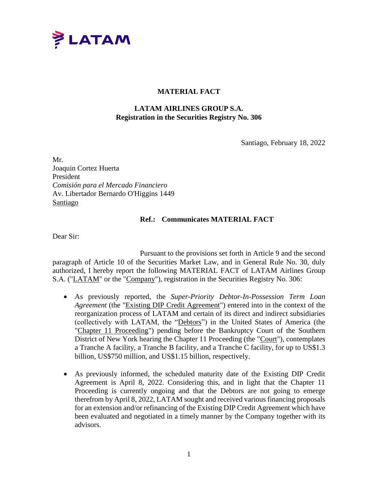

## **MATERIAL FACT**

## **LATAM AIRLINES GROUP S.A. Registration in the Securities Registry No. 306**

Santiago, February 18, 2022

Mr. Joaquin Cortez Huerta President *Comisión para el Mercado Financiero* Av. Libertador Bernardo O'Higgins 1449 Santiago

## **Ref.: Communicates MATERIAL FACT**

Dear Sir:

Pursuant to the provisions set forth in Article 9 and the second paragraph of Article 10 of the Securities Market Law, and in General Rule No. 30, duly authorized, I hereby report the following MATERIAL FACT of LATAM Airlines Group S.A. ("LATAM" or the "Company"), registration in the Securities Registry No. 306:

- As previously reported, the *Super-Priority Debtor-In-Possession Term Loan Agreement* (the "Existing DIP Credit Agreement") entered into in the context of the reorganization process of LATAM and certain of its direct and indirect subsidiaries (collectively with LATAM, the "Debtors") in the United States of America (the "Chapter 11 Proceeding") pending before the Bankruptcy Court of the Southern District of New York hearing the Chapter 11 Proceeding (the "Court"), contemplates a Tranche A facility, a Tranche B facility, and a Tranche C facility, for up to US\$1.3 billion, US\$750 million, and US\$1.15 billion, respectively.
- As previously informed, the scheduled maturity date of the Existing DIP Credit Agreement is April 8, 2022. Considering this, and in light that the Chapter 11 Proceeding is currently ongoing and that the Debtors are not going to emerge therefrom by April 8, 2022, LATAM sought and received various financing proposals for an extension and/or refinancing of the Existing DIP Credit Agreement which have been evaluated and negotiated in a timely manner by the Company together with its advisors.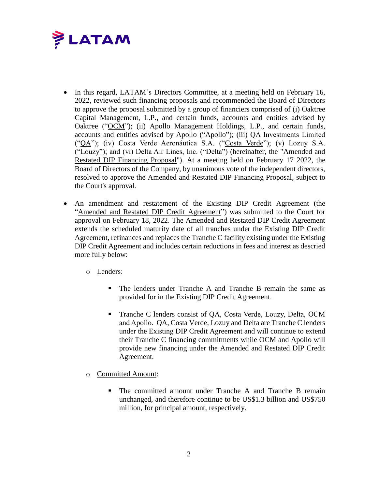

- In this regard, LATAM's Directors Committee, at a meeting held on February 16, 2022, reviewed such financing proposals and recommended the Board of Directors to approve the proposal submitted by a group of financiers comprised of (i) Oaktree Capital Management, L.P., and certain funds, accounts and entities advised by Oaktree ("OCM"); (ii) Apollo Management Holdings, L.P., and certain funds, accounts and entities advised by Apollo ("Apollo"); (iii) QA Investments Limited ("QA"); (iv) Costa Verde Aeronáutica S.A. ("Costa Verde"); (v) Lozuy S.A. ("Louzy"); and (vi) Delta Air Lines, Inc. ("Delta") (hereinafter, the "Amended and Restated DIP Financing Proposal"). At a meeting held on February 17 2022, the Board of Directors of the Company, by unanimous vote of the independent directors, resolved to approve the Amended and Restated DIP Financing Proposal, subject to the Court's approval.
- An amendment and restatement of the Existing DIP Credit Agreement (the "Amended and Restated DIP Credit Agreement") was submitted to the Court for approval on February 18, 2022. The Amended and Restated DIP Credit Agreement extends the scheduled maturity date of all tranches under the Existing DIP Credit Agreement, refinances and replaces the Tranche C facility existing under the Existing DIP Credit Agreement and includes certain reductions in fees and interest as descried more fully below:
	- o Lenders:
		- The lenders under Tranche A and Tranche B remain the same as provided for in the Existing DIP Credit Agreement.
		- Tranche C lenders consist of QA, Costa Verde, Louzy, Delta, OCM and Apollo. QA, Costa Verde, Lozuy and Delta are Tranche C lenders under the Existing DIP Credit Agreement and will continue to extend their Tranche C financing commitments while OCM and Apollo will provide new financing under the Amended and Restated DIP Credit Agreement.
	- o Committed Amount:
		- The committed amount under Tranche A and Tranche B remain unchanged, and therefore continue to be US\$1.3 billion and US\$750 million, for principal amount, respectively.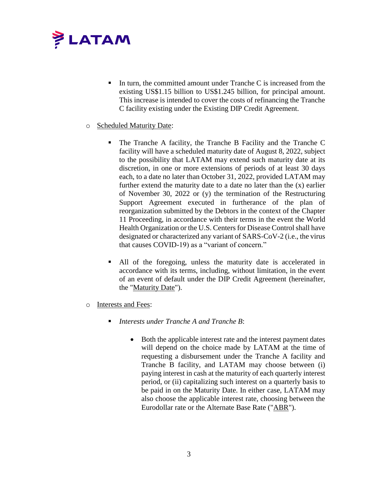

- In turn, the committed amount under Tranche C is increased from the existing US\$1.15 billion to US\$1.245 billion, for principal amount. This increase is intended to cover the costs of refinancing the Tranche C facility existing under the Existing DIP Credit Agreement.
- o Scheduled Maturity Date:
	- The Tranche A facility, the Tranche B Facility and the Tranche C facility will have a scheduled maturity date of August 8, 2022, subject to the possibility that LATAM may extend such maturity date at its discretion, in one or more extensions of periods of at least 30 days each, to a date no later than October 31, 2022, provided LATAM may further extend the maturity date to a date no later than the (x) earlier of November 30, 2022 or (y) the termination of the Restructuring Support Agreement executed in furtherance of the plan of reorganization submitted by the Debtors in the context of the Chapter 11 Proceeding, in accordance with their terms in the event the World Health Organization or the U.S. Centers for Disease Control shall have designated or characterized any variant of SARS-CoV-2 (i.e., the virus that causes COVID-19) as a "variant of concern."
	- All of the foregoing, unless the maturity date is accelerated in accordance with its terms, including, without limitation, in the event of an event of default under the DIP Credit Agreement (hereinafter, the "Maturity Date").
- o Interests and Fees:
	- *Interests under Tranche A and Tranche B*:
		- Both the applicable interest rate and the interest payment dates will depend on the choice made by LATAM at the time of requesting a disbursement under the Tranche A facility and Tranche B facility, and LATAM may choose between (i) paying interest in cash at the maturity of each quarterly interest period, or (ii) capitalizing such interest on a quarterly basis to be paid in on the Maturity Date. In either case, LATAM may also choose the applicable interest rate, choosing between the Eurodollar rate or the Alternate Base Rate ("ABR").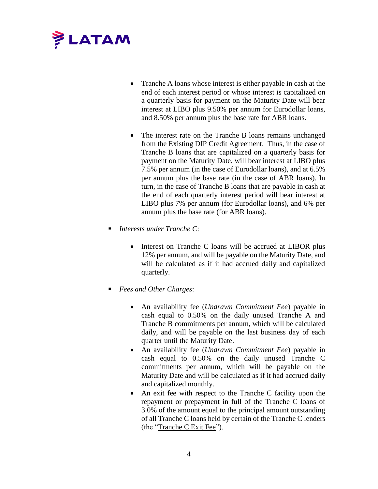

- Tranche A loans whose interest is either payable in cash at the end of each interest period or whose interest is capitalized on a quarterly basis for payment on the Maturity Date will bear interest at LIBO plus 9.50% per annum for Eurodollar loans, and 8.50% per annum plus the base rate for ABR loans.
- The interest rate on the Tranche B loans remains unchanged from the Existing DIP Credit Agreement. Thus, in the case of Tranche B loans that are capitalized on a quarterly basis for payment on the Maturity Date, will bear interest at LIBO plus 7.5% per annum (in the case of Eurodollar loans), and at 6.5% per annum plus the base rate (in the case of ABR loans). In turn, in the case of Tranche B loans that are payable in cash at the end of each quarterly interest period will bear interest at LIBO plus 7% per annum (for Eurodollar loans), and 6% per annum plus the base rate (for ABR loans).
- *Interests under Tranche C*:
	- Interest on Tranche C loans will be accrued at LIBOR plus 12% per annum, and will be payable on the Maturity Date, and will be calculated as if it had accrued daily and capitalized quarterly.
- *Fees and Other Charges*:
	- An availability fee (*Undrawn Commitment Fee*) payable in cash equal to 0.50% on the daily unused Tranche A and Tranche B commitments per annum, which will be calculated daily, and will be payable on the last business day of each quarter until the Maturity Date.
	- An availability fee (*Undrawn Commitment Fee*) payable in cash equal to 0.50% on the daily unused Tranche C commitments per annum, which will be payable on the Maturity Date and will be calculated as if it had accrued daily and capitalized monthly.
	- An exit fee with respect to the Tranche C facility upon the repayment or prepayment in full of the Tranche C loans of 3.0% of the amount equal to the principal amount outstanding of all Tranche C loans held by certain of the Tranche C lenders (the "Tranche C Exit Fee").